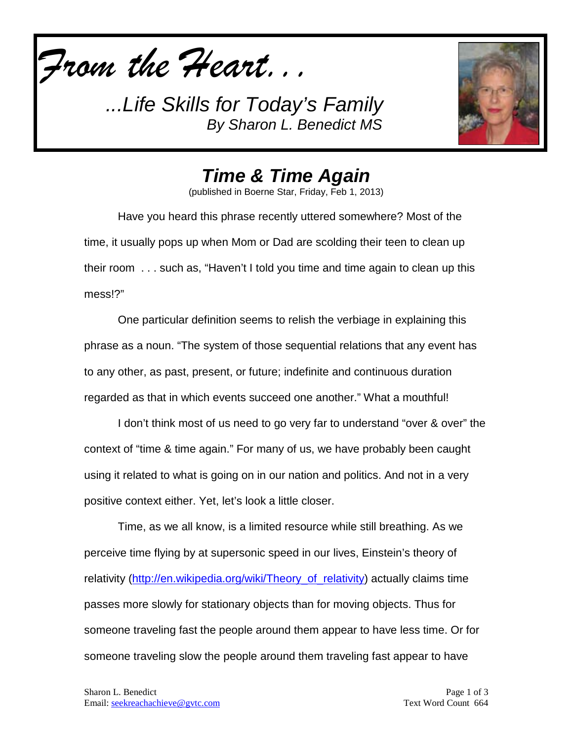



*Time & Time Again*

(published in Boerne Star, Friday, Feb 1, 2013)

Have you heard this phrase recently uttered somewhere? Most of the time, it usually pops up when Mom or Dad are scolding their teen to clean up their room . . . such as, "Haven't I told you time and time again to clean up this mess!?"

One particular definition seems to relish the verbiage in explaining this phrase as a noun. "The system of those sequential relations that any event has to any other, as past, present, or future; indefinite and continuous duration regarded as that in which events succeed one another." What a mouthful!

I don't think most of us need to go very far to understand "over & over" the context of "time & time again." For many of us, we have probably been caught using it related to what is going on in our nation and politics. And not in a very positive context either. Yet, let's look a little closer.

Time, as we all know, is a limited resource while still breathing. As we perceive time flying by at supersonic speed in our lives, Einstein's theory of relativity (http://en.wikipedia.org/wiki/Theory of relativity) actually claims time passes more slowly for stationary objects than for moving objects. Thus for someone traveling fast the people around them appear to have less time. Or for someone traveling slow the people around them traveling fast appear to have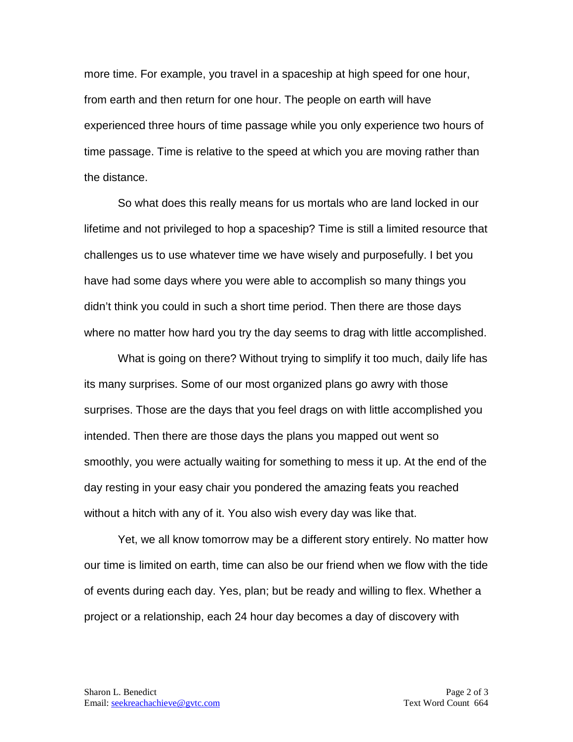more time. For example, you travel in a spaceship at high speed for one hour, from earth and then return for one hour. The people on earth will have experienced three hours of time passage while you only experience two hours of time passage. Time is relative to the speed at which you are moving rather than the distance.

So what does this really means for us mortals who are land locked in our lifetime and not privileged to hop a spaceship? Time is still a limited resource that challenges us to use whatever time we have wisely and purposefully. I bet you have had some days where you were able to accomplish so many things you didn't think you could in such a short time period. Then there are those days where no matter how hard you try the day seems to drag with little accomplished.

What is going on there? Without trying to simplify it too much, daily life has its many surprises. Some of our most organized plans go awry with those surprises. Those are the days that you feel drags on with little accomplished you intended. Then there are those days the plans you mapped out went so smoothly, you were actually waiting for something to mess it up. At the end of the day resting in your easy chair you pondered the amazing feats you reached without a hitch with any of it. You also wish every day was like that.

Yet, we all know tomorrow may be a different story entirely. No matter how our time is limited on earth, time can also be our friend when we flow with the tide of events during each day. Yes, plan; but be ready and willing to flex. Whether a project or a relationship, each 24 hour day becomes a day of discovery with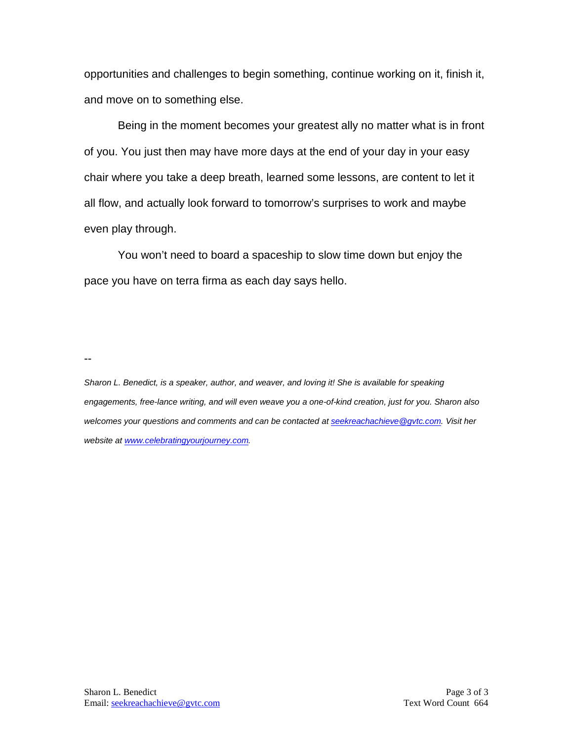opportunities and challenges to begin something, continue working on it, finish it, and move on to something else.

Being in the moment becomes your greatest ally no matter what is in front of you. You just then may have more days at the end of your day in your easy chair where you take a deep breath, learned some lessons, are content to let it all flow, and actually look forward to tomorrow's surprises to work and maybe even play through.

You won't need to board a spaceship to slow time down but enjoy the pace you have on terra firma as each day says hello.

--

*Sharon L. Benedict, is a speaker, author, and weaver, and loving it! She is available for speaking engagements, free-lance writing, and will even weave you a one-of-kind creation, just for you. Sharon also welcomes your questions and comments and can be contacted a[t seekreachachieve@gvtc.com.](mailto:seekreachachieve@gvtc.com) Visit her website at [www.celebratingyourjourney.com.](http://www.celebratingyourjourney.com/)*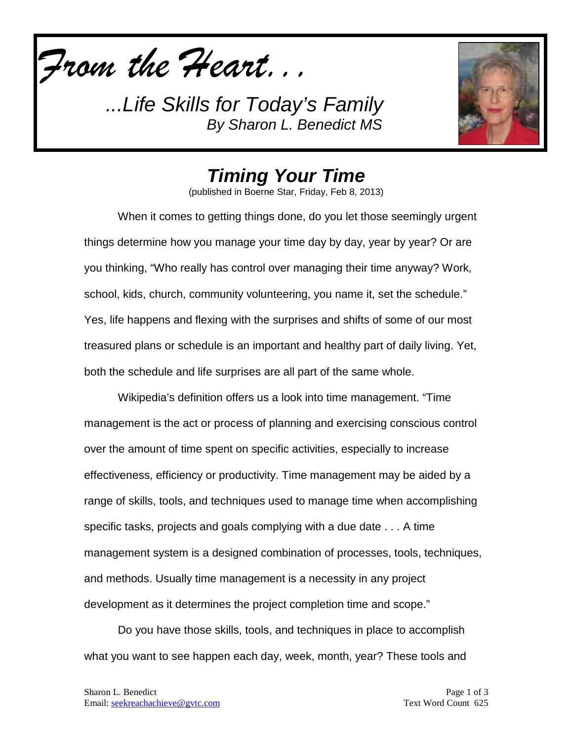*From the Heart...*



*Timing Your Time*

(published in Boerne Star, Friday, Feb 8, 2013)

When it comes to getting things done, do you let those seemingly urgent things determine how you manage your time day by day, year by year? Or are you thinking, "Who really has control over managing their time anyway? Work, school, kids, church, community volunteering, you name it, set the schedule." Yes, life happens and flexing with the surprises and shifts of some of our most treasured plans or schedule is an important and healthy part of daily living. Yet, both the schedule and life surprises are all part of the same whole.

Wikipedia's definition offers us a look into time management. "Time management is the act or process of planning and exercising conscious control over the amount of time spent on specific activities, especially to increase effectiveness, efficiency or productivity. Time management may be aided by a range of skills, tools, and techniques used to manage time when accomplishing specific tasks, projects and goals complying with a due date . . . A time management system is a designed combination of processes, tools, techniques, and methods. Usually time management is a necessity in any project development as it determines the project completion time and scope."

Do you have those skills, tools, and techniques in place to accomplish what you want to see happen each day, week, month, year? These tools and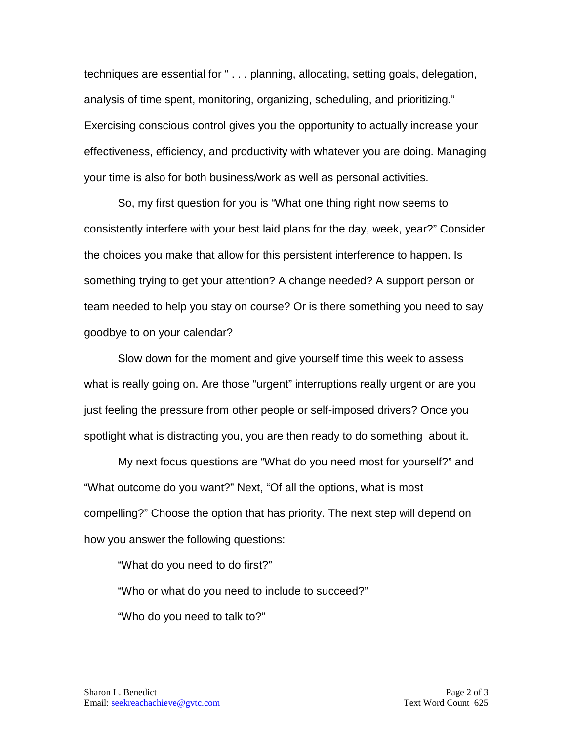techniques are essential for " . . . planning, allocating, setting goals, delegation, analysis of time spent, monitoring, organizing, scheduling, and prioritizing." Exercising conscious control gives you the opportunity to actually increase your effectiveness, efficiency, and productivity with whatever you are doing. Managing your time is also for both business/work as well as personal activities.

So, my first question for you is "What one thing right now seems to consistently interfere with your best laid plans for the day, week, year?" Consider the choices you make that allow for this persistent interference to happen. Is something trying to get your attention? A change needed? A support person or team needed to help you stay on course? Or is there something you need to say goodbye to on your calendar?

Slow down for the moment and give yourself time this week to assess what is really going on. Are those "urgent" interruptions really urgent or are you just feeling the pressure from other people or self-imposed drivers? Once you spotlight what is distracting you, you are then ready to do something about it.

My next focus questions are "What do you need most for yourself?" and "What outcome do you want?" Next, "Of all the options, what is most compelling?" Choose the option that has priority. The next step will depend on how you answer the following questions:

"What do you need to do first?" "Who or what do you need to include to succeed?" "Who do you need to talk to?"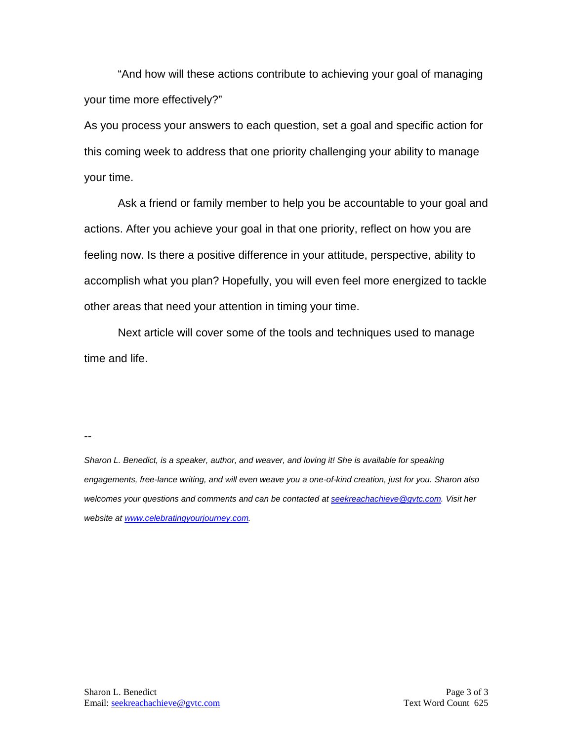"And how will these actions contribute to achieving your goal of managing your time more effectively?"

As you process your answers to each question, set a goal and specific action for this coming week to address that one priority challenging your ability to manage your time.

Ask a friend or family member to help you be accountable to your goal and actions. After you achieve your goal in that one priority, reflect on how you are feeling now. Is there a positive difference in your attitude, perspective, ability to accomplish what you plan? Hopefully, you will even feel more energized to tackle other areas that need your attention in timing your time.

Next article will cover some of the tools and techniques used to manage time and life.

--

*Sharon L. Benedict, is a speaker, author, and weaver, and loving it! She is available for speaking engagements, free-lance writing, and will even weave you a one-of-kind creation, just for you. Sharon also welcomes your questions and comments and can be contacted a[t seekreachachieve@gvtc.com.](mailto:seekreachachieve@gvtc.com) Visit her website at [www.celebratingyourjourney.com.](http://www.celebratingyourjourney.com/)*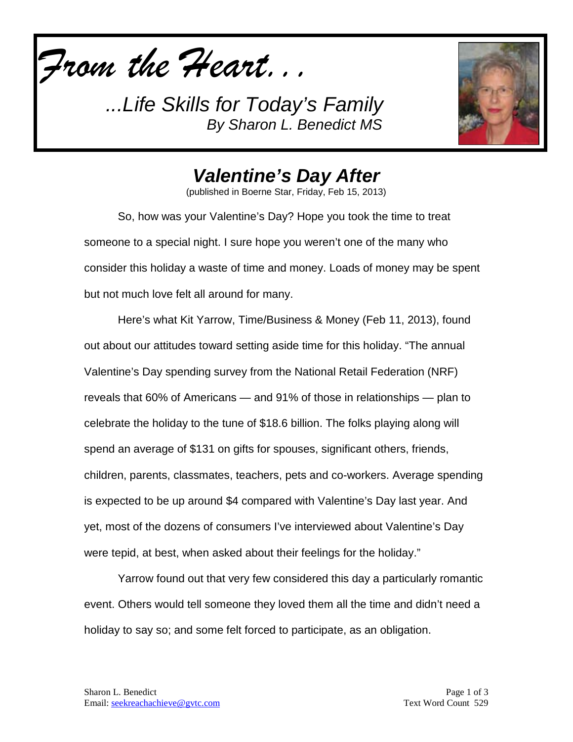*From the Heart...*



## *Valentine's Day After*

(published in Boerne Star, Friday, Feb 15, 2013)

So, how was your Valentine's Day? Hope you took the time to treat someone to a special night. I sure hope you weren't one of the many who consider this holiday a waste of time and money. Loads of money may be spent but not much love felt all around for many.

Here's what Kit Yarrow, Time/Business & Money (Feb 11, 2013), found out about our attitudes toward setting aside time for this holiday. "The annual Valentine's Day spending survey from the National Retail Federation (NRF) reveals that 60% of Americans — and 91% of those in relationships — plan to celebrate the holiday to the tune of \$18.6 billion. The folks playing along will spend an average of \$131 on gifts for spouses, significant others, friends, children, parents, classmates, teachers, pets and co-workers. Average spending is expected to be up around \$4 compared with Valentine's Day last year. And yet, most of the dozens of consumers I've interviewed about Valentine's Day were tepid, at best, when asked about their feelings for the holiday."

Yarrow found out that very few considered this day a particularly romantic event. Others would tell someone they loved them all the time and didn't need a holiday to say so; and some felt forced to participate, as an obligation.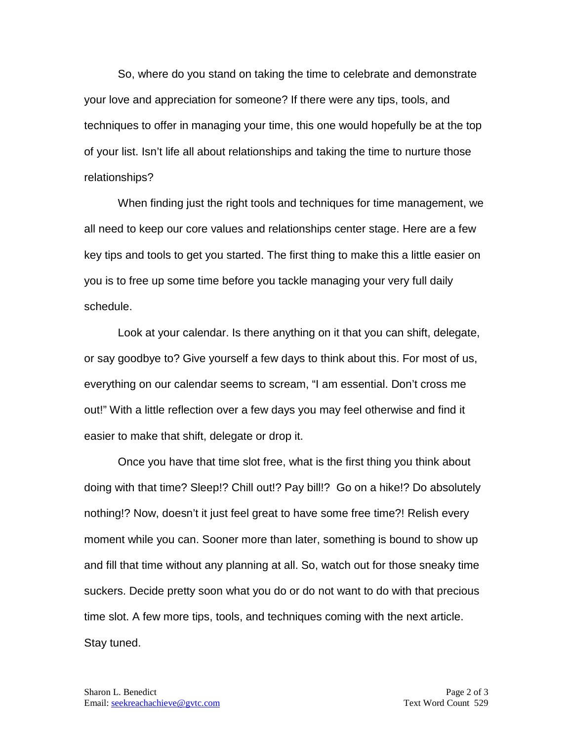So, where do you stand on taking the time to celebrate and demonstrate your love and appreciation for someone? If there were any tips, tools, and techniques to offer in managing your time, this one would hopefully be at the top of your list. Isn't life all about relationships and taking the time to nurture those relationships?

When finding just the right tools and techniques for time management, we all need to keep our core values and relationships center stage. Here are a few key tips and tools to get you started. The first thing to make this a little easier on you is to free up some time before you tackle managing your very full daily schedule.

Look at your calendar. Is there anything on it that you can shift, delegate, or say goodbye to? Give yourself a few days to think about this. For most of us, everything on our calendar seems to scream, "I am essential. Don't cross me out!" With a little reflection over a few days you may feel otherwise and find it easier to make that shift, delegate or drop it.

Once you have that time slot free, what is the first thing you think about doing with that time? Sleep!? Chill out!? Pay bill!? Go on a hike!? Do absolutely nothing!? Now, doesn't it just feel great to have some free time?! Relish every moment while you can. Sooner more than later, something is bound to show up and fill that time without any planning at all. So, watch out for those sneaky time suckers. Decide pretty soon what you do or do not want to do with that precious time slot. A few more tips, tools, and techniques coming with the next article. Stay tuned.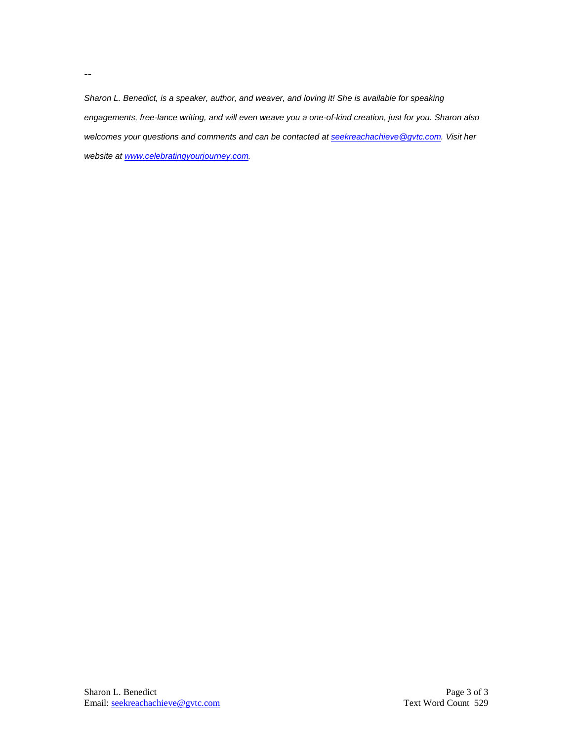*Sharon L. Benedict, is a speaker, author, and weaver, and loving it! She is available for speaking engagements, free-lance writing, and will even weave you a one-of-kind creation, just for you. Sharon also welcomes your questions and comments and can be contacted a[t seekreachachieve@gvtc.com.](mailto:seekreachachieve@gvtc.com) Visit her website at [www.celebratingyourjourney.com.](http://www.celebratingyourjourney.com/)*

--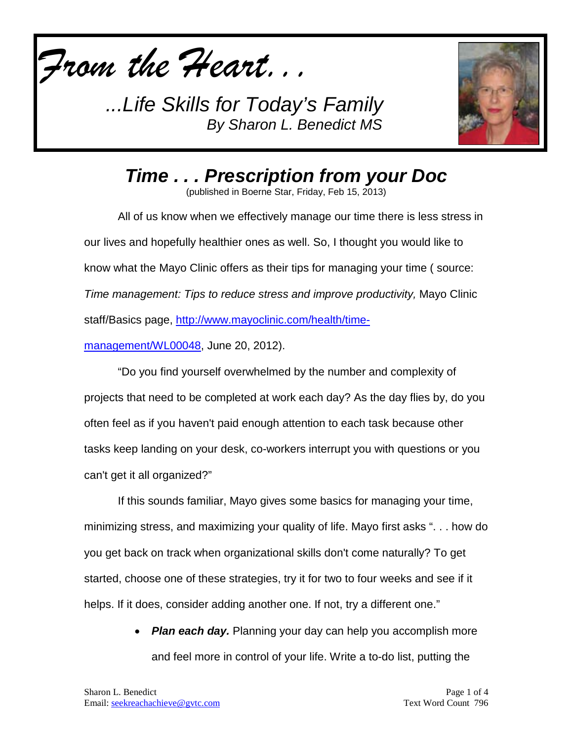



*Time . . . Prescription from your Doc*

(published in Boerne Star, Friday, Feb 15, 2013)

All of us know when we effectively manage our time there is less stress in our lives and hopefully healthier ones as well. So, I thought you would like to know what the Mayo Clinic offers as their tips for managing your time ( source: *Time management: Tips to reduce stress and improve productivity,* Mayo Clinic staff/Basics page, [http://www.mayoclinic.com/health/time-](http://www.mayoclinic.com/health/time-management/WL00048)

[management/WL00048,](http://www.mayoclinic.com/health/time-management/WL00048) June 20, 2012).

"Do you find yourself overwhelmed by the number and complexity of projects that need to be completed at work each day? As the day flies by, do you often feel as if you haven't paid enough attention to each task because other tasks keep landing on your desk, co-workers interrupt you with questions or you can't get it all organized?"

If this sounds familiar, Mayo gives some basics for managing your time, minimizing stress, and maximizing your quality of life. Mayo first asks ". . . how do you get back on track when organizational skills don't come naturally? To get started, choose one of these strategies, try it for two to four weeks and see if it helps. If it does, consider adding another one. If not, try a different one."

> **Plan each day.** Planning your day can help you accomplish more and feel more in control of your life. Write a to-do list, putting the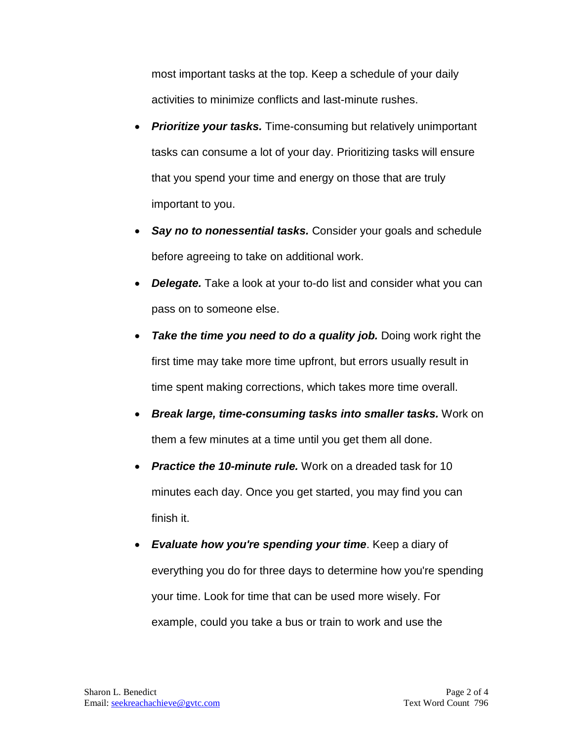most important tasks at the top. Keep a schedule of your daily activities to minimize conflicts and last-minute rushes.

- *Prioritize your tasks.* Time-consuming but relatively unimportant tasks can consume a lot of your day. Prioritizing tasks will ensure that you spend your time and energy on those that are truly important to you.
- **Say no to nonessential tasks.** Consider your goals and schedule before agreeing to take on additional work.
- *Delegate.* Take a look at your to-do list and consider what you can pass on to someone else.
- *Take the time you need to do a quality job.* Doing work right the first time may take more time upfront, but errors usually result in time spent making corrections, which takes more time overall.
- *Break large, time-consuming tasks into smaller tasks.* Work on them a few minutes at a time until you get them all done.
- *Practice the 10-minute rule.* Work on a dreaded task for 10 minutes each day. Once you get started, you may find you can finish it.
- *Evaluate how you're spending your time*. Keep a diary of everything you do for three days to determine how you're spending your time. Look for time that can be used more wisely. For example, could you take a bus or train to work and use the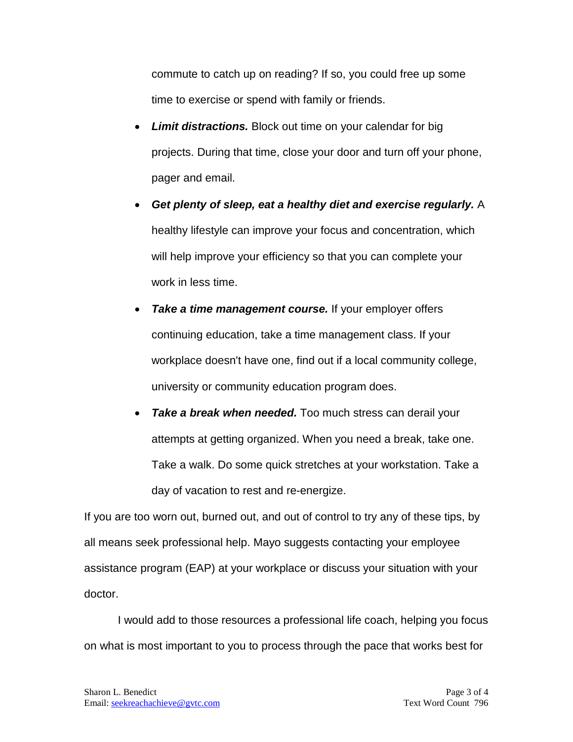commute to catch up on reading? If so, you could free up some time to exercise or spend with family or friends.

- *Limit distractions.* Block out time on your calendar for big projects. During that time, close your door and turn off your phone, pager and email.
- *Get plenty of sleep, eat a healthy diet and exercise regularly.* A healthy lifestyle can improve your focus and concentration, which will help improve your efficiency so that you can complete your work in less time.
- *Take a time management course.* If your employer offers continuing education, take a time management class. If your workplace doesn't have one, find out if a local community college, university or community education program does.
- **Take a break when needed.** Too much stress can derail your attempts at getting organized. When you need a break, take one. Take a walk. Do some quick stretches at your workstation. Take a day of vacation to rest and re-energize.

If you are too worn out, burned out, and out of control to try any of these tips, by all means seek professional help. Mayo suggests contacting your employee assistance program (EAP) at your workplace or discuss your situation with your doctor.

I would add to those resources a professional life coach, helping you focus on what is most important to you to process through the pace that works best for